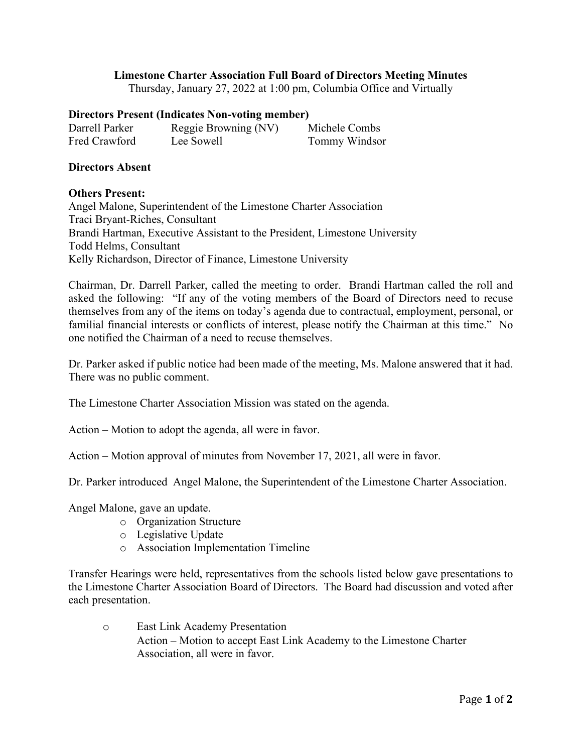## **Limestone Charter Association Full Board of Directors Meeting Minutes**

Thursday, January 27, 2022 at 1:00 pm, Columbia Office and Virtually

## **Directors Present (Indicates Non-voting member)**

| Darrell Parker | Reggie Browning (NV) | Michele Combs |
|----------------|----------------------|---------------|
| Fred Crawford  | Lee Sowell           | Tommy Windsor |

## **Directors Absent**

## **Others Present:**

Angel Malone, Superintendent of the Limestone Charter Association Traci Bryant-Riches, Consultant Brandi Hartman, Executive Assistant to the President, Limestone University Todd Helms, Consultant Kelly Richardson, Director of Finance, Limestone University

Chairman, Dr. Darrell Parker, called the meeting to order. Brandi Hartman called the roll and asked the following: "If any of the voting members of the Board of Directors need to recuse themselves from any of the items on today's agenda due to contractual, employment, personal, or familial financial interests or conflicts of interest, please notify the Chairman at this time." No one notified the Chairman of a need to recuse themselves.

Dr. Parker asked if public notice had been made of the meeting, Ms. Malone answered that it had. There was no public comment.

The Limestone Charter Association Mission was stated on the agenda.

Action – Motion to adopt the agenda, all were in favor.

Action – Motion approval of minutes from November 17, 2021, all were in favor.

Dr. Parker introduced Angel Malone, the Superintendent of the Limestone Charter Association.

Angel Malone, gave an update.

- o Organization Structure
- o Legislative Update
- o Association Implementation Timeline

Transfer Hearings were held, representatives from the schools listed below gave presentations to the Limestone Charter Association Board of Directors. The Board had discussion and voted after each presentation.

o East Link Academy Presentation Action – Motion to accept East Link Academy to the Limestone Charter Association, all were in favor.